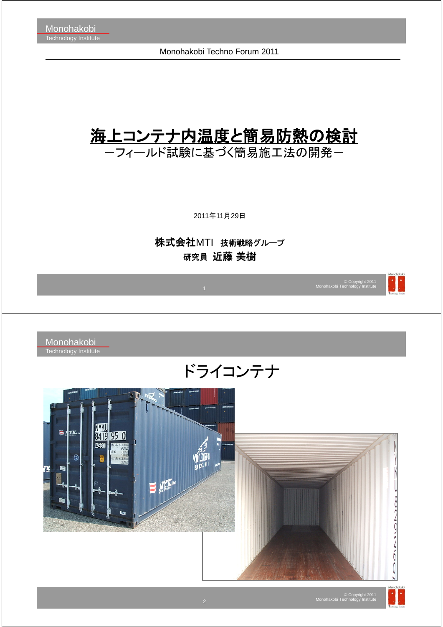Monohakobi Techno Forum 2011

# 海上コンテナ内温度と簡易防熱の検討

ーフィールド試験に基づく簡易施工法の開発ー

2011年11月29日

株式会社MTI 技術戦略グループ 研究員 近藤 美樹



### ドライコンテナ



© Copyright 2011 Monohakobi Technology Institute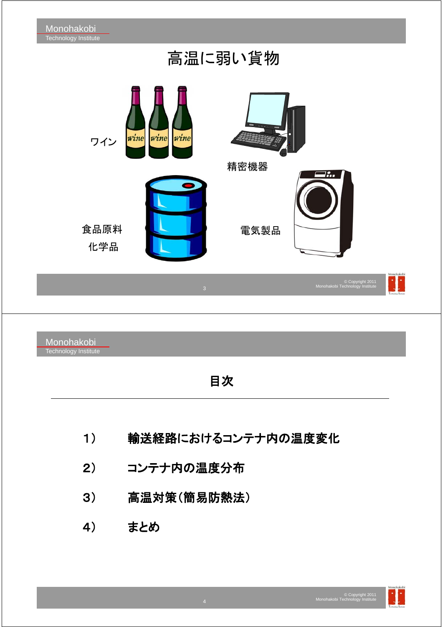高温に弱い貨物 wine wine wine ワイン 精密機器 食品原料 電気製品 化学品 N. © Copyright 2011 Monohakobi Technology Institute Monohakobi Technology Institute 目次

- 1) 輸送経路におけるコンテナ内の温度変化
- 2) コンテナ内の温度分布
- 3) 高温対策(簡易防熱法)
- 4) まとめ

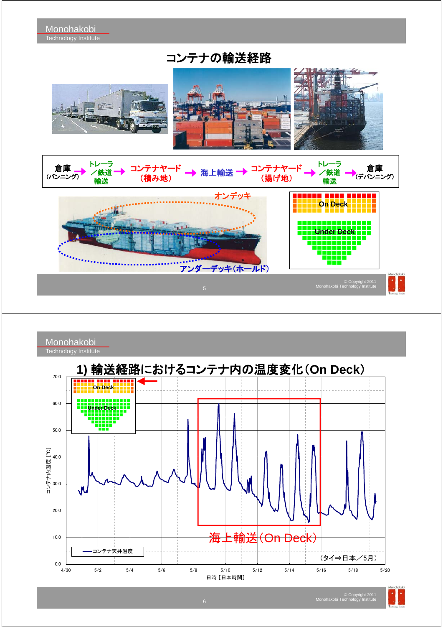コンテナの輸送経路









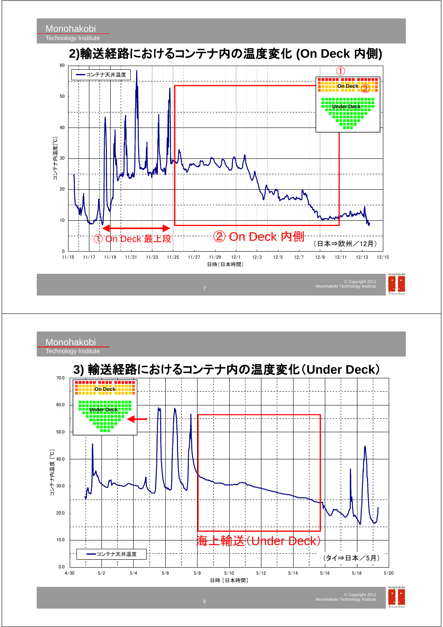

Monohakobi Technology Institute **3)** 輸送経路におけるコンテナ内の温度変化(**Under Deck**) 70.0 ina sana sanansi **Con Deck Under Deck** 60.0 Í 50.0 コンテナ内温度 [℃] 40.0  $\frac{1}{1}$ 30.0 20.0 10.0 <u>ነder Deck)</u> コンテナ天井温度 (タイ⇒日本/5月) $0.0$   $-4/30$ 4/30 5/2 5/4 5/6 5/8 5/10 5/12 5/14 5/16 5/18 5/20 日時 [日本時間]

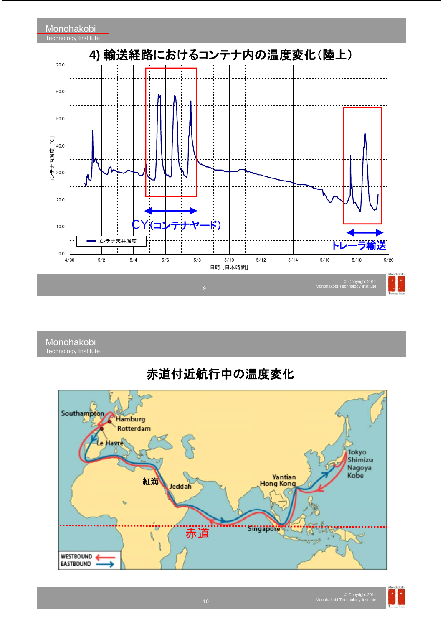

Monohakobi Technology Institute

### 赤道付近航行中の温度変化



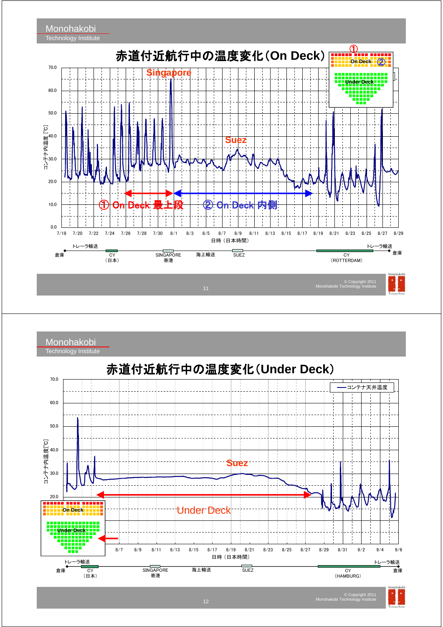

Monohakobi



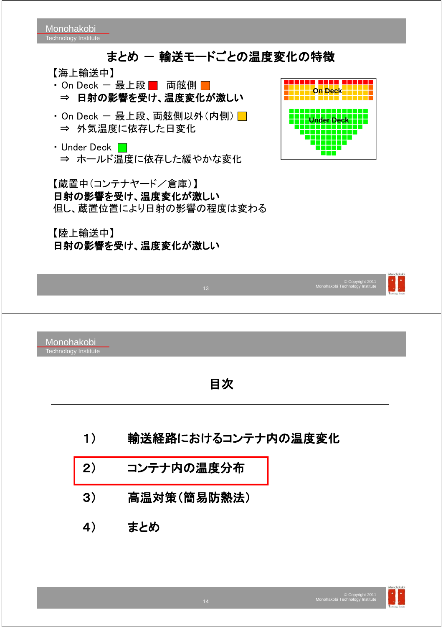### まとめ ー 輸送モードごとの温度変化の特徴

【海上輸送中】

- On Deck 最上段 両舷側 ⇒ 日射の影響を受け、温度変化が激しい
- ・On Deck ー 最上段、両舷側以外 $($ 内側 $)$ ⇒ 外気温度に依存した日変化
- Under Deck  $\Box$ ⇒ ホールド温度に依存した緩やかな変化

【蔵置中(コンテナヤード/倉庫)】 日射の影響を受け、温度変化が激しい 但し、蔵置位置により日射の影響の程度は変わる

【陸上輸送中】 日射の影響を受け、温度変化が激しい



|    |                                    | 13 <sup>°</sup> | © Copyright 2011<br>Monohakobi Technology Institute | Monohakobi |
|----|------------------------------------|-----------------|-----------------------------------------------------|------------|
|    | Monohakobi<br>Technology Institute |                 |                                                     |            |
| 目次 |                                    |                 |                                                     |            |
|    | 輸送経路におけるコンテナ内の温度変化<br>1)           |                 |                                                     |            |
|    | 2)                                 | コンテナ内の温度分布      |                                                     |            |
|    | 3)                                 | 高温対策(簡易防熱法)     |                                                     |            |
|    | 4)                                 | まとめ             |                                                     |            |
|    |                                    |                 |                                                     |            |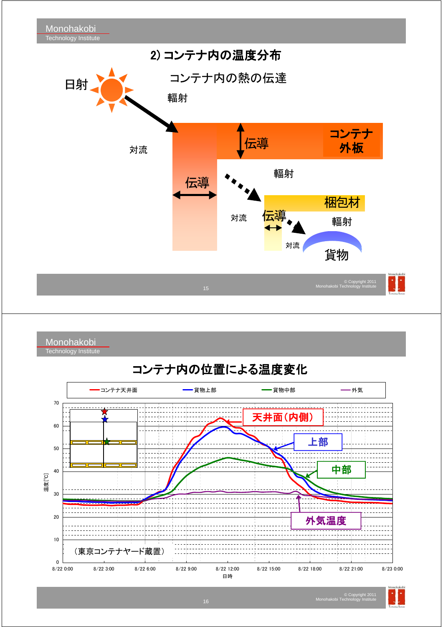

Monohakobi **Technology Institute** 

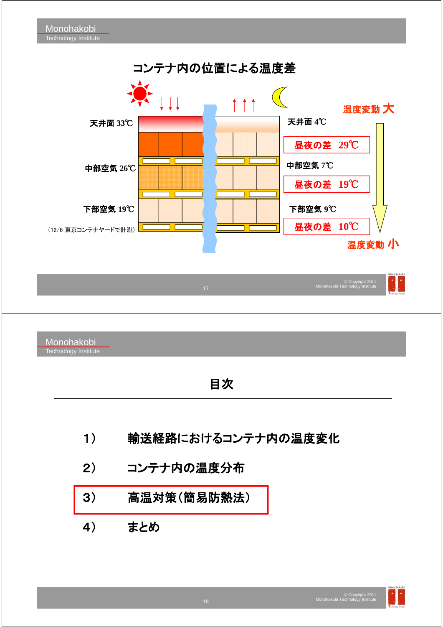

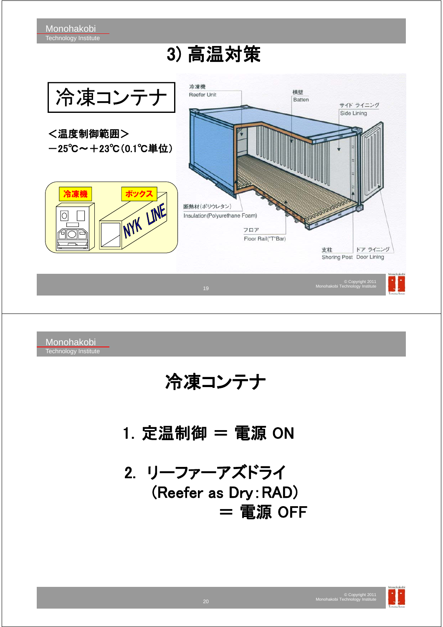## 3) 高温対策



Monohakobi Technology Institute

## 冷凍コンテナ

 $1.$  定温制御  $=$  電源 ON

2. リーファーアズドライ (Reefer as Dry:RAD) = 電源 OFF

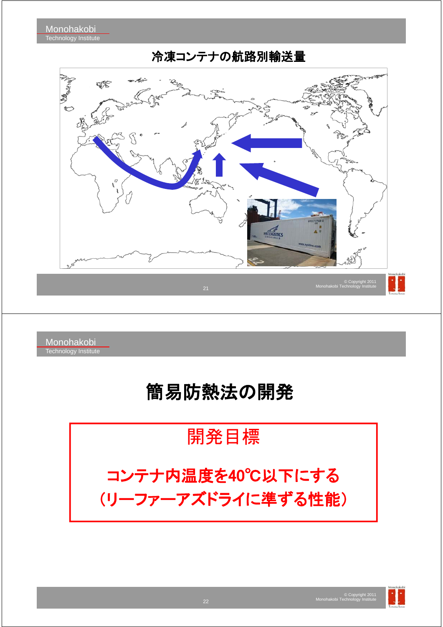

### 冷凍コンテナの航路別輸送量

Monohakobi Technology Institute

# 簡易防熱法の開発

開発目標

コンテナ内温度を40℃以下にする (リーファーアズドライに準ずる性能)

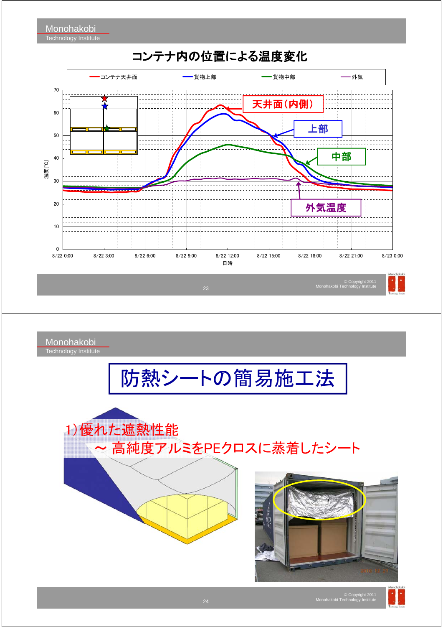

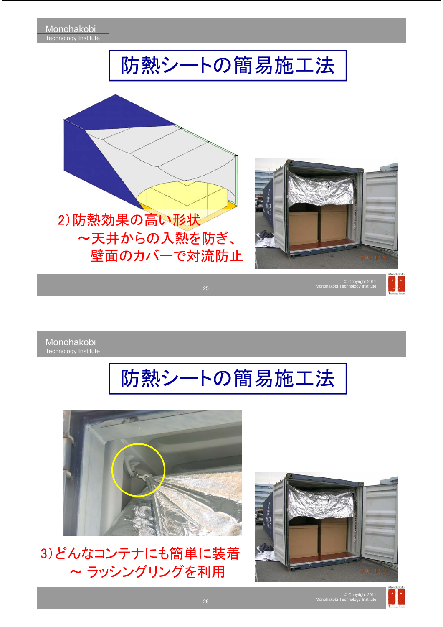

3)どんなコンテナにも簡単に装着 ~ ラッシングリングを利用



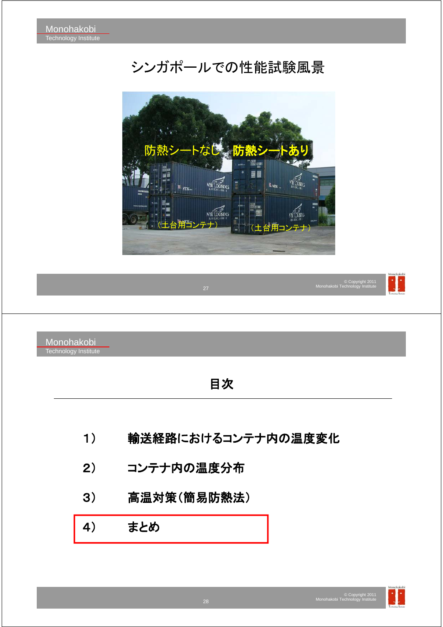### シンガポールでの性能試験風景